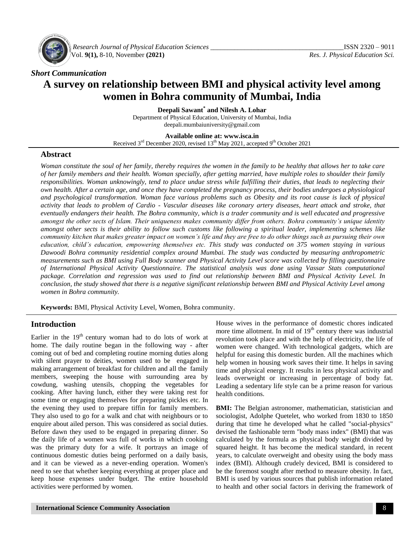

*Research Journal of Physical Education Sciences \_\_\_\_\_\_\_\_\_\_\_\_\_\_\_\_\_\_\_\_\_\_\_\_\_\_\_\_\_\_\_\_\_\_\_\_\_\_\_*ISSN 2320 – 9011 Vol. **9(1),** 8-10, November **(2021)** *Res. J. Physical Education Sci.*

#### *Short Communication*

# **A survey on relationship between BMI and physical activity level among women in Bohra community of Mumbai, India**

**Deepali Sawant\* and Nilesh A. Lohar** Department of Physical Education, University of Mumbai, India deepali.mumbaiuniversity@gmail.com

#### **Available online at: [www.isca.in](http://www.isca.in/)**

Received  $3^{rd}$  December 2020, revised  $13^{th}$  May 2021, accepted 9<sup>th</sup> October 2021

#### **Abstract**

*Woman constitute the soul of her family, thereby requires the women in the family to be healthy that allows her to take care of her family members and their health. Woman specially, after getting married, have multiple roles to shoulder their family responsibilities. Woman unknowingly, tend to place undue stress while fulfilling their duties, that leads to neglecting their own health. After a certain age, and once they have completed the pregnancy process, their bodies undergoes a physiological and psychological transformation. Woman face various problems such as Obesity and its root cause is lack of physical activity that leads to problem of Cardio - Vascular diseases like coronary artery diseases, heart attack and stroke, that eventually endangers their health. The Bohra community, which is a trader community and is well educated and progressive amongst the other sects of Islam. Their uniqueness makes community differ from others. Bohra community's unique identity amongst other sects is their ability to follow such customs like following a spiritual leader, implementing schemes like community kitchen that makes greater impact on women's life and they are free to do other things such as pursuing their own education, child's education, empowering themselves etc. This study was conducted on 375 women staying in various Dawoodi Bohra community residential complex around Mumbai. The study was conducted by measuring anthropometric measurements such as BMI using Full Body scanner and Physical Activity Level score was collected by filling questionnaire of International Physical Activity Questionnaire. The statistical analysis was done using Vassar Stats computational package. Correlation and regression was used to find out relationship between BMI and Physical Activity Level. In conclusion, the study showed that there is a negative significant relationship between BMI and Physical Activity Level among women in Bohra community.*

**Keywords:** BMI, Physical Activity Level, Women, Bohra community.

#### **Introduction**

Earlier in the  $19<sup>th</sup>$  century woman had to do lots of work at home. The daily routine began in the following way - after coming out of bed and completing routine morning duties along with silent prayer to deities, women used to be engaged in making arrangement of breakfast for children and all the family members, sweeping the house with surrounding area by cowdung, washing utensils, chopping the vegetables for cooking. After having lunch, either they were taking rest for some time or engaging themselves for preparing pickles etc. In the evening they used to prepare tiffin for family members. They also used to go for a walk and chat with neighbours or to enquire about ailed person. This was considered as social duties. Before dawn they used to be engaged in preparing dinner. So the daily life of a women was full of works in which cooking was the primary duty for a wife. It portrays an image of continuous domestic duties being performed on a daily basis, and it can be viewed as a never-ending operation. Women's need to see that whether keeping everything at proper place and keep house expenses under budget. The entire household activities were performed by women.

House wives in the performance of domestic chores indicated more time allotment. In mid of  $19<sup>th</sup>$  century there was industrial revolution took place and with the help of electricity, the life of women were changed. With technological gadgets, which are helpful for easing this domestic burden. All the machines which help women in housing work saves their time. It helps in saving time and physical energy. It results in less physical activity and leads overweight or increasing in percentage of body fat. Leading a sedentary life style can be a prime reason for various health conditions.

**BMI:** The Belgian astronomer, mathematician, statistician and sociologist, Adolphe Quetelet, who worked from 1830 to 1850 during that time he developed what he called "social-physics" devised the fashionable term "body mass index" (BMI) that was calculated by the formula as physical body weight divided by squared height. It has become the medical standard, in recent years, to calculate overweight and obesity using the body mass index (BMI). Although crudely deviced, BMI is considered to be the foremost sought after method to measure obesity. In fact, BMI is used by various sources that publish information related to health and other social factors in deriving the framework of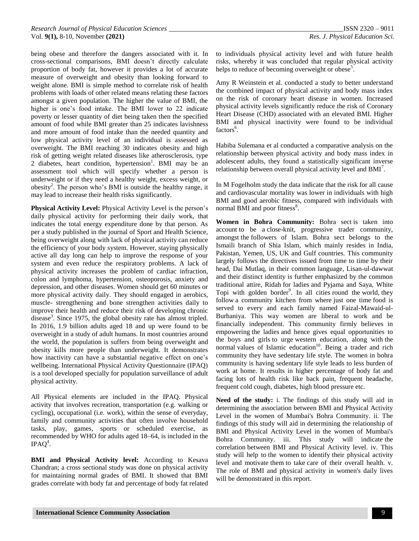being obese and therefore the dangers associated with it. In cross-sectional comparisons, BMI doesn't directly calculate proportion of body fat, however it provides a lot of accurate measure of overweight and obesity than looking forward to weight alone. BMI is simple method to correlate risk of health problems with loads of other related means relating these factors amongst a given population. The higher the value of BMI, the higher is one's food intake. The BMI lower to 22 indicate poverty or lesser quantity of diet being taken then the specified amount of food while BMI greater than 25 indicates lavishness and more amount of food intake than the needed quantity and low physical activity level of an individual is assessed as overweight. The BMI reaching 30 indicates obesity and high risk of getting weight related diseases like atherosclerosis, type 2 diabetes, heart condition, hypertension<sup>1</sup>. BMI may be an assessment tool which will specify whether a person is underweight or if they need a healthy weight, excess weight, or obesity<sup>2</sup>. The person who's BMI is outside the healthy range, it may lead to increase their health risks significantly.

**Physical Activity Level:** Physical Activity Level is the person's daily physical activity for performing their daily work, that indicates the total energy expenditure done by that person. As per a study published in the journal of Sport and Health Science, being overweight along with lack of physical activity can reduce the efficiency of your body system. However, staying physically active all day long can help to improve the response of your system and even reduce the respiratory problems. A lack of physical activity increases the problem of cardiac infraction, colon and lymphoma, hypertension, osteoporosis, anxiety and depression, and other diseases. Women should get 60 minutes or more physical activity daily. They should engaged in aerobics, muscle- strengthening and bone strengthen activities daily to improve their health and reduce their risk of developing chronic disease<sup>3</sup>. Since 1975, the global obesity rate has almost tripled. In 2016, 1.9 billion adults aged 18 and up were found to be overweight in a study of adult humans. In most countries around the world, the population is suffers from being overweight and obesity kills more people than underweight. It demonstrates how inactivity can have a substantial negative effect on one's wellbeing. International Physical Activity Questionnaire (IPAQ) is a tool developed specially for population surveillance of adult physical activity.

All Physical elements are included in the IPAQ. Physical activity that involves recreation, transportation (e.g. walking or cycling), occupational (i.e. work), within the sense of everyday, family and community activities that often involve household tasks, play, games, sports or scheduled exercise, as recommended by WHO for adults aged 18–64, is included in the  $IPAQ<sup>4</sup>$ .

**BMI and Physical Activity level:** According to Kesava Chandran; a cross sectional study was done on physical activity for maintaining normal grades of BMI. It showed that BMI grades correlate with body fat and percentage of body fat related to individuals physical activity level and with future health risks, whereby it was concluded that regular physical activity helps to reduce of becoming overweight or obese<sup>5</sup>.

Amy R Weinstein et al. conducted a study to better understand the combined impact of physical activity and body mass index on the risk of coronary heart disease in women. Increased physical activity levels significantly reduce the risk of Coronary Heart Disease (CHD) associated with an elevated BMI. Higher BMI and physical inactivity were found to be individual factors<sup>6</sup>.

Habiba Sulemana et al conducted a comparative analysis on the relationship between physical activity and body mass index in adolescent adults, they found a statistically significant inverse relationship between overall physical activity level and  $BMI<sup>7</sup>$ .

In M Fogelholm study the data indicate that the risk for all cause and cardiovascular mortality was lower in individuals with high BMI and good aerobic fitness, compared with individuals with normal BMI and poor fitness<sup>8</sup>.

**Women in Bohra Community:** Bohra sect is taken into account to be a close-knit, progressive trader community, amongst the followers of Islam. Bohra sect belongs to the Ismaili branch of Shia Islam, which mainly resides in India, Pakistan, Yemen, US, UK and Gulf countries. This community largely follows the directives issued from time to time by their head, Dai Mutlaq, in their common language, Lisan-ul-dawwat and their distinct identity is further emphasized by the common traditional attire, Ridah for ladies and Pyjama and Saya, White Topi with golden border<sup>9</sup>. In all cities round the world, they follow a community kitchen from where just one time food is served to every and each family named Faizal-Mawaid-ul-Burhaniya. This way women are liberal to work and be financially independent. This community firmly believes in empowering the ladies and hence gives equal opportunities to the boys and girls to urge western education, along with the normal values of Islamic education<sup>10</sup>. Being a trader and rich community they have sedentary life style. The women in bohra community is having sedentary life style leads to less burden of work at home. It results in higher percentage of body fat and facing lots of health risk like back pain, frequent headache, frequent cold cough, diabetes, high blood pressure etc.

**Need of the study:** i. The findings of this study will aid in determining the association between BMI and Physical Activity Level in the women of Mumbai's Bohra Community. ii. The findings of this study will aid in determining the relationship of BMI and Physical Activity Level in the women of Mumbai's Bohra Community. iii. This study will indicate the correlation between BMI and Physical Activity level. iv. This study will help to the women to identify their physical activity level and motivate them to take care of their overall health. v. The role of BMI and physical activity in women's daily lives will be demonstrated in this report.